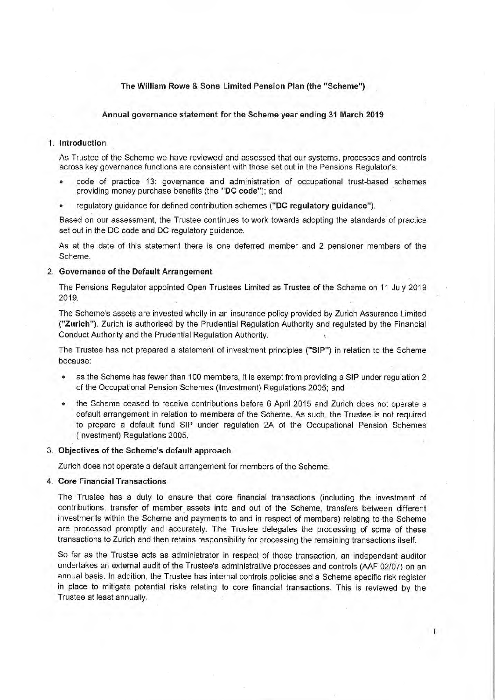## The William Rowe & Sons Limited Pension Plan (the "Scheme")

#### Annual governance statement for the Scheme year ending 31 March 2019

## 1. Introduction

As Trustee of the Scheme we have reviewed and assessed that our systems, processes and controls across key governance functions are consistent with those set out in the Pensions Regulator's:

- code of practice 13: governance and administration of occupational trust-based schemes providing money purchase benefits (the "DC code"); and
- regulatory guidance for defined contribution schemes ("DC regulatory guidance").

Based on our assessment, the Trustee continues to work towards adopting the standards of practice set out in the DC code and DC regulatory guidance.

As at the date of this statement there is one deferred member and 2 pensioner members of the Scheme.

## 2. Governance of the Default Arrangement

The Pensions Regulator appointed Open Trustees Limited as Trustee of the Scheme on 11 July 2019 2019.

The Scheme's assets are invested wholly in an insurance policy provided by Zurich Assurance Limited ("Zurich"). Zurich is authorised by the Prudential Regulation Authority and regulated by the Financial Conduct Authority and the Prudential Regulation Authority.

The Trustee has not prepared a statement of investment principles ("SIP") in relation to the Scheme because:

- as the Scheme has fewer than 100 members, it is exempt from providing a SIP under regulation 2 of the Occupational Pension Schemes (Investment) Regulations 2005; and
- the Scheme ceased to receive contributions before 6 April 2015 and Zurich does not operate a default arrangement in relation to members of the Scheme. As such, the Trustee is not required to prepare a default fund SIP under regulation 2A of the Occupational Pension Schemes (Investment) Regulations 2005.

## 3. Objectives of the Scheme's default approach

Zurich does not operate a default arrangement for members of the Scheme.

#### 4. Core Financial Transactions

The Trustee has a duty to ensure that core financial transactions (including the investment of contributions, transfer of member assets into and out of the Scheme, transfers between different investments within the Scheme and payments to and in respect of members) relating to the Scheme are processed promptly and accurately. The Trustee delegates the processing of some of these transactions to Zurich and then retains responsibility for processing the remaining transactions itself.

So far as the Trustee acts as administrator in respect of those transaction, an independent auditor undertakes an external audit of the Trustee's administrative processes and controls (AAF 02/07) on an annual basis. In addition, the Trustee has internal controls policies and a Scheme specific risk register in place to mitigate potential risks relating to core financial transactions. This is reviewed by the Trustee at least annually.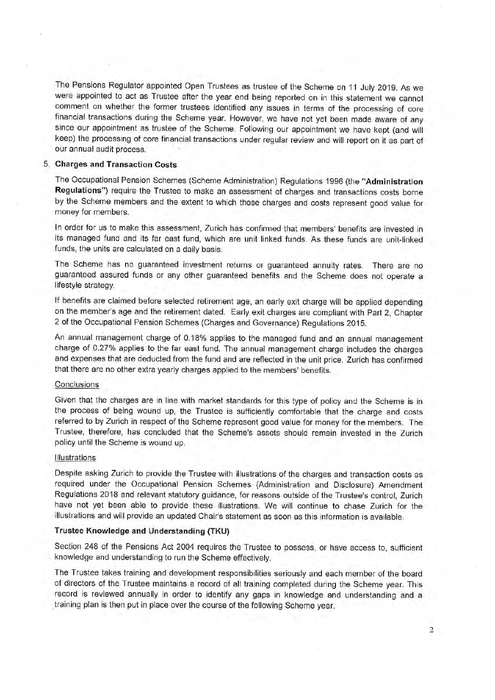The Pensions Regulator appointed Open Trustees as trustee of the Scheme on 11 July 2019. As we <sup>w</sup>ere appointed to act as Trustee after the year end being reported on in this statement we cannot <sup>c</sup>omment on whether the former trustees identified any issues in terms of the processing of core <sup>f</sup>inancial transactions during the Scheme year. However, we have not yet been made aware of any <sup>s</sup>ince our appointment as trustee of the Scheme. Following our appointment we have kept (and will <sup>k</sup>eep) the processing of core financial transactions under regular review and will report on it as part of <sup>o</sup>ur annual audit process.

## 5. Charges and Transaction Costs

<sup>T</sup>he Occupational Pension Schemes (Scheme Administration) Regulations 1996 (the "Administration <sup>R</sup>egulations") require the Trustee to make an assessment of charges and transactions costs borne <sup>b</sup>y the Scheme members and the extent to which those charges and costs represent good value for <sup>m</sup>oney for members.

In order for us to make this assessment, Zurich has confirmed that members' benefits are invested in its managed fund and its far east fund, which are unit linked funds. As these funds are unit-linked funds, the units are calculated on a daily basis.

<sup>T</sup>he Scheme has no guaranteed investment returns or guaranteed annuity rates. There are no <sup>g</sup>uaranteed assured funds or any other guaranteed benefits and the Scheme does not operate <sup>a</sup> lifestyle strategy.

<sup>I</sup>f benefits are claimed before selected retirement age, an early exit charge will be applied depending <sup>o</sup>n the member's age and the retirement dated. Early exit charges are compliant with Part 2, Chapter <sup>2</sup> of the Occupational Pension Schemes (Charges and Governance) Regulations 2015.

<sup>A</sup>n annual management charge of 0.18% applies to the managed fund and an annual management <sup>c</sup>harge of 0.27% applies to the far east fund. The annual management charge includes the charges <sup>a</sup>nd expenses that are deducted from the fund and are reflected in the unit price. Zurich has confirmed <sup>t</sup>hat there are no other extra yearly charges applied to the members' benefits.

#### **Conclusions**

<sup>G</sup>iven that the charges are in line with market standards for this type of policy and the Scheme is in <sup>t</sup>he process of being wound up, the Trustee is sufficiently comfortable that the charge and costs <sup>r</sup>eferred to by Zurich in respect of the Scheme represent good value for money for the members. The <sup>T</sup>rustee, therefore, has concluded that the Scheme's assets should remain invested in the Zurich <sup>p</sup>olicy until the Scheme is wound up.

#### **Illustrations**

<sup>D</sup>espite asking Zurich to provide the Trustee with illustrations of the charges and transaction costs as <sup>r</sup>equired under the Occupational Pension Schemes (Administration and Disclosure) Amendment <sup>R</sup>egulations 2018 and relevant statutory guidance, for reasons outside of the Trustee's control, Zurich have not yet been able to provide these illustrations. We will continue to chase Zurich for the illustrations and will provide an updated Chair's statement as soon as this information is available.

# <sup>T</sup>rustee Knowledge and Understanding (TKU)

<sup>S</sup>ection 248 of the Pensions Act 2004 requires the Trustee to possess, or have access to, sufficient <sup>k</sup>nowledge and understanding to run the Scheme effectively.

<sup>T</sup>he Trustee takes training and development responsibilities seriously and each member of the board <sup>o</sup>f directors of the Trustee maintains a record of all training completed during the Scheme year. This <sup>r</sup>ecord is reviewed annually in order to identify any gaps in knowledge and understanding and <sup>a</sup> training plan is then put in place over the course of the following Scheme year.